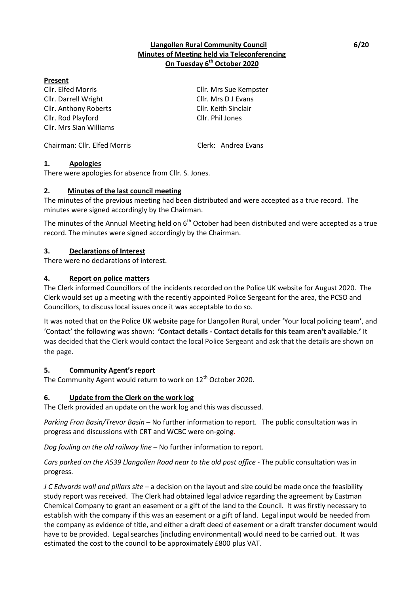## **Llangollen Rural Community Council 6/20 Minutes of Meeting held via Teleconferencing On Tuesday 6 th October 2020**

### **Present**

Cllr. Elfed Morris Cllr. Mrs Sue Kempster Cllr. Darrell Wright Cllr. Mrs D J Evans Cllr. Anthony Roberts Cllr. Keith Sinclair Cllr. Rod Playford Cllr. Phil Jones Cllr. Mrs Sian Williams

Chairman: Cllr. Elfed Morris Clerk: Andrea Evans

### **1. Apologies**

There were apologies for absence from Cllr. S. Jones.

#### **2. Minutes of the last council meeting**

The minutes of the previous meeting had been distributed and were accepted as a true record. The minutes were signed accordingly by the Chairman.

The minutes of the Annual Meeting held on  $6<sup>th</sup>$  October had been distributed and were accepted as a true record. The minutes were signed accordingly by the Chairman.

#### **3. Declarations of Interest**

There were no declarations of interest.

#### **4. Report on police matters**

The Clerk informed Councillors of the incidents recorded on the Police UK website for August 2020. The Clerk would set up a meeting with the recently appointed Police Sergeant for the area, the PCSO and Councillors, to discuss local issues once it was acceptable to do so.

It was noted that on the Police UK website page for Llangollen Rural, under 'Your local policing team', and 'Contact' the following was shown: **'Contact details - Contact details for this team aren't available.'** It was decided that the Clerk would contact the local Police Sergeant and ask that the details are shown on the page.

#### **5. Community Agent's report**

The Community Agent would return to work on 12<sup>th</sup> October 2020.

#### **6. Update from the Clerk on the work log**

The Clerk provided an update on the work log and this was discussed.

*Parking Fron Basin/Trevor Basin* – No further information to report. The public consultation was in progress and discussions with CRT and WCBC were on-going.

*Dog fouling on the old railway line* – No further information to report.

*Cars parked on the A539 Llangollen Road near to the old post office* - The public consultation was in progress.

*J C Edwards wall and pillars site* – a decision on the layout and size could be made once the feasibility study report was received.The Clerk had obtained legal advice regarding the agreement by Eastman Chemical Company to grant an easement or a gift of the land to the Council.It was firstly necessary to establish with the company if this was an easement or a gift of land.Legal input would be needed from the company as evidence of title, and either a draft deed of easement or a draft transfer document would have to be provided. Legal searches (including environmental) would need to be carried out. It was estimated the cost to the council to be approximately £800 plus VAT.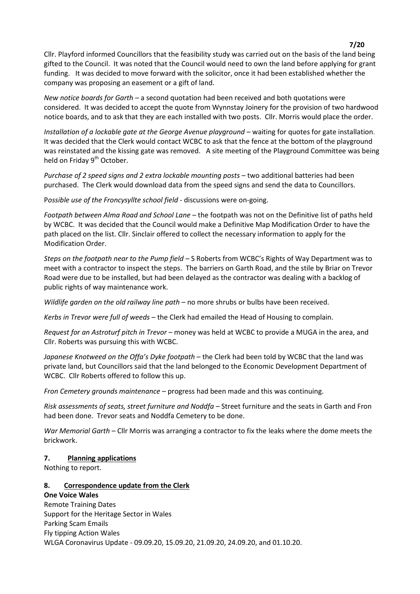Cllr. Playford informed Councillors that the feasibility study was carried out on the basis of the land being gifted to the Council. It was noted that the Council would need to own the land before applying for grant funding.It was decided to move forward with the solicitor, once it had been established whether the company was proposing an easement or a gift of land.

*New notice boards for Garth* – a second quotation had been received and both quotations were considered. It was decided to accept the quote from Wynnstay Joinery for the provision of two hardwood notice boards, and to ask that they are each installed with two posts. Cllr. Morris would place the order.

*Installation of a lockable gate at the George Avenue playground* – waiting for quotes for gate installation. It was decided that the Clerk would contact WCBC to ask that the fence at the bottom of the playground was reinstated and the kissing gate was removed. A site meeting of the Playground Committee was being held on Friday 9<sup>th</sup> October.

*Purchase of 2 speed signs and 2 extra lockable mounting posts* – two additional batteries had been purchased. The Clerk would download data from the speed signs and send the data to Councillors.

P*ossible use of the Froncysyllte school field* - discussions were on-going.

*Footpath between Alma Road and School Lane* – the footpath was not on the Definitive list of paths held by WCBC. It was decided that the Council would make a Definitive Map Modification Order to have the path placed on the list. Cllr. Sinclair offered to collect the necessary information to apply for the Modification Order.

*Steps on the footpath near to the Pump field* – S Roberts from WCBC's Rights of Way Department was to meet with a contractor to inspect the steps. The barriers on Garth Road, and the stile by Briar on Trevor Road were due to be installed, but had been delayed as the contractor was dealing with a backlog of public rights of way maintenance work.

*Wildlife garden on the old railway line path* – no more shrubs or bulbs have been received.

*Kerbs in Trevor were full of weeds* – the Clerk had emailed the Head of Housing to complain.

*Request for an Astroturf pitch in Trevor* – money was held at WCBC to provide a MUGA in the area, and Cllr. Roberts was pursuing this with WCBC.

*Japanese Knotweed on the Offa's Dyke footpath* – the Clerk had been told by WCBC that the land was private land, but Councillors said that the land belonged to the Economic Development Department of WCBC. Cllr Roberts offered to follow this up.

*Fron Cemetery grounds maintenance* – progress had been made and this was continuing.

*Risk assessments of seats, street furniture and Noddfa –* Street furniture and the seats in Garth and Fron had been done. Trevor seats and Noddfa Cemetery to be done.

*War Memorial Garth* – Cllr Morris was arranging a contractor to fix the leaks where the dome meets the brickwork.

#### **7. Planning applications**

Nothing to report.

## **8. Correspondence update from the Clerk**

**One Voice Wales** Remote Training Dates Support for the Heritage Sector in Wales Parking Scam Emails Fly tipping Action Wales WLGA Coronavirus Update - 09.09.20, 15.09.20, 21.09.20, 24.09.20, and 01.10.20.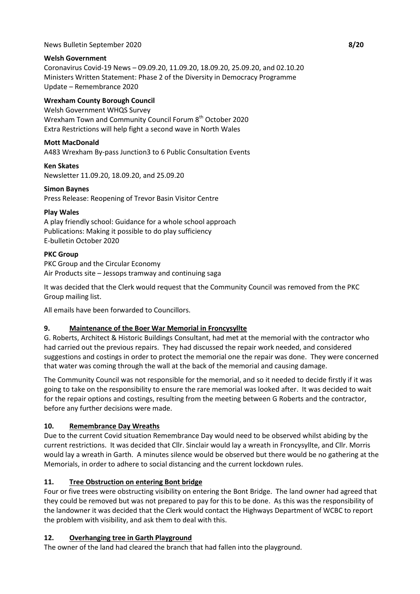### News Bulletin September 2020 **8/20**

### **Welsh Government**

Coronavirus Covid-19 News – 09.09.20, 11.09.20, 18.09.20, 25.09.20, and 02.10.20 Ministers Written Statement: Phase 2 of the Diversity in Democracy Programme Update – Remembrance 2020

### **Wrexham County Borough Council**

Welsh Government WHQS Survey Wrexham Town and Community Council Forum 8<sup>th</sup> October 2020 Extra Restrictions will help fight a second wave in North Wales

### **Mott MacDonald**

A483 Wrexham By-pass Junction3 to 6 Public Consultation Events

**Ken Skates** Newsletter 11.09.20, 18.09.20, and 25.09.20

#### **Simon Baynes**

Press Release: Reopening of Trevor Basin Visitor Centre

### **Play Wales**

A play friendly school: Guidance for a whole school approach Publications: Making it possible to do play sufficiency E-bulletin October 2020

### **PKC Group**

PKC Group and the Circular Economy Air Products site – Jessops tramway and continuing saga

It was decided that the Clerk would request that the Community Council was removed from the PKC Group mailing list.

All emails have been forwarded to Councillors.

## **9. Maintenance of the Boer War Memorial in Froncysyllte**

G. Roberts, Architect & Historic Buildings Consultant, had met at the memorial with the contractor who had carried out the previous repairs. They had discussed the repair work needed, and considered suggestions and costings in order to protect the memorial one the repair was done. They were concerned that water was coming through the wall at the back of the memorial and causing damage.

The Community Council was not responsible for the memorial, and so it needed to decide firstly if it was going to take on the responsibility to ensure the rare memorial was looked after. It was decided to wait for the repair options and costings, resulting from the meeting between G Roberts and the contractor, before any further decisions were made.

## **10. Remembrance Day Wreaths**

Due to the current Covid situation Remembrance Day would need to be observed whilst abiding by the current restrictions. It was decided that Cllr. Sinclair would lay a wreath in Froncysyllte, and Cllr. Morris would lay a wreath in Garth. A minutes silence would be observed but there would be no gathering at the Memorials, in order to adhere to social distancing and the current lockdown rules.

## **11. Tree Obstruction on entering Bont bridge**

Four or five trees were obstructing visibility on entering the Bont Bridge. The land owner had agreed that they could be removed but was not prepared to pay for this to be done. As this was the responsibility of the landowner it was decided that the Clerk would contact the Highways Department of WCBC to report the problem with visibility, and ask them to deal with this.

#### **12. Overhanging tree in Garth Playground**

The owner of the land had cleared the branch that had fallen into the playground.